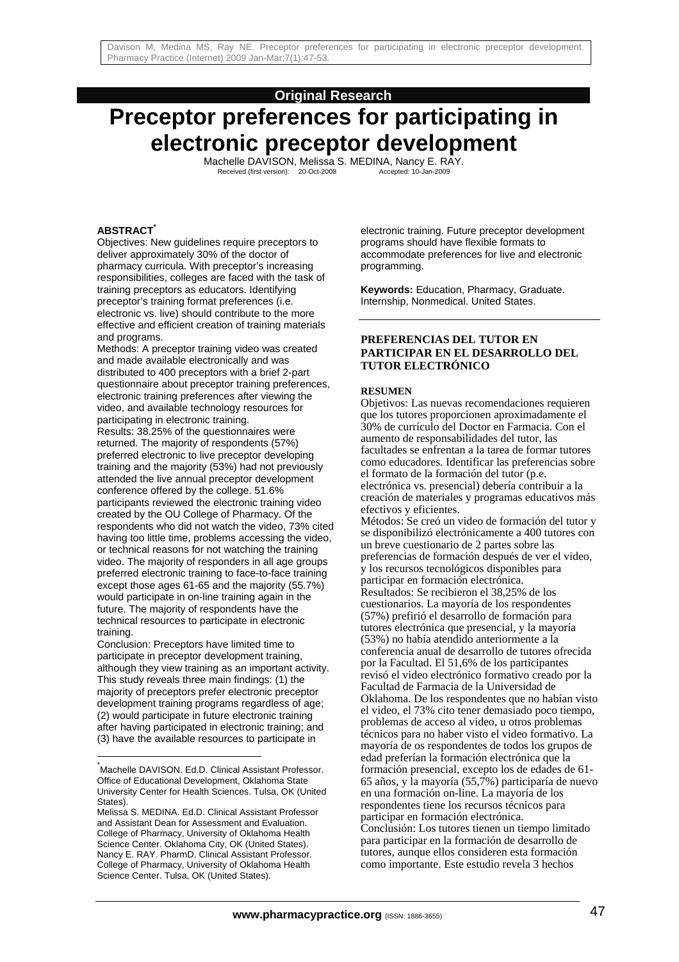# **Original Research**

# **Preceptor preferences for participating in electronic preceptor development**

Machelle DAVISON, Melissa S. MEDINA, Nancy E. RAY.<br>Received (first version): 20-Oct-2008 Accepted: 10-Jan-2009

# **ABSTRACT\***

Objectives: New guidelines require preceptors to deliver approximately 30% of the doctor of pharmacy curricula. With preceptor's increasing responsibilities, colleges are faced with the task of training preceptors as educators. Identifying preceptor's training format preferences (i.e. electronic vs. live) should contribute to the more effective and efficient creation of training materials and programs.

Methods: A preceptor training video was created and made available electronically and was distributed to 400 preceptors with a brief 2-part questionnaire about preceptor training preferences, electronic training preferences after viewing the video, and available technology resources for participating in electronic training.

Results: 38.25% of the questionnaires were returned. The majority of respondents (57%) preferred electronic to live preceptor developing training and the majority (53%) had not previously attended the live annual preceptor development conference offered by the college. 51.6% participants reviewed the electronic training video created by the OU College of Pharmacy. Of the respondents who did not watch the video, 73% cited having too little time, problems accessing the video, or technical reasons for not watching the training video. The majority of responders in all age groups preferred electronic training to face-to-face training except those ages 61-65 and the majority (55.7%) would participate in on-line training again in the future. The majority of respondents have the technical resources to participate in electronic training.

Conclusion: Preceptors have limited time to participate in preceptor development training, although they view training as an important activity. This study reveals three main findings: (1) the majority of preceptors prefer electronic preceptor development training programs regardless of age; (2) would participate in future electronic training after having participated in electronic training; and (3) have the available resources to participate in

l

electronic training. Future preceptor development programs should have flexible formats to accommodate preferences for live and electronic programming.

**Keywords:** Education, Pharmacy, Graduate. Internship, Nonmedical. United States.

#### **PREFERENCIAS DEL TUTOR EN PARTICIPAR EN EL DESARROLLO DEL TUTOR ELECTRÓNICO**

#### **RESUMEN**

Objetivos: Las nuevas recomendaciones requieren que los tutores proporcionen aproximadamente el 30% de currículo del Doctor en Farmacia. Con el aumento de responsabilidades del tutor, las facultades se enfrentan a la tarea de formar tutores como educadores. Identificar las preferencias sobre el formato de la formación del tutor (p.e. electrónica vs. presencial) debería contribuir a la creación de materiales y programas educativos más efectivos y eficientes.

Métodos: Se creó un video de formación del tutor y se disponibilizó electrónicamente a 400 tutores con un breve cuestionario de 2 partes sobre las preferencias de formación después de ver el video, y los recursos tecnológicos disponibles para participar en formación electrónica. Resultados: Se recibieron el 38,25% de los cuestionarios. La mayoría de los respondentes (57%) prefirió el desarrollo de formación para tutores electrónica que presencial, y la mayoría (53%) no había atendido anteriormente a la conferencia anual de desarrollo de tutores ofrecida por la Facultad. El 51,6% de los participantes revisó el video electrónico formativo creado por la Facultad de Farmacia de la Universidad de Oklahoma. De los respondentes que no habían visto el video, el 73% cito tener demasiado poco tiempo, problemas de acceso al video, u otros problemas técnicos para no haber visto el video formativo. La mayoría de os respondentes de todos los grupos de edad preferían la formación electrónica que la formación presencial, excepto los de edades de 61- 65 años, y la mayoría (55,7%) participaría de nuevo en una formación on-line. La mayoría de los respondentes tiene los recursos técnicos para participar en formación electrónica. Conclusión: Los tutores tienen un tiempo limitado para participar en la formación de desarrollo de tutores, aunque ellos consideren esta formación como importante. Este estudio revela 3 hechos

<sup>\*</sup> Machelle DAVISON. Ed.D. Clinical Assistant Professor. Office of Educational Development, Oklahoma State University Center for Health Sciences. Tulsa, OK (United States).

Melissa S. MEDINA. Ed.D. Clinical Assistant Professor and Assistant Dean for Assessment and Evaluation. College of Pharmacy, University of Oklahoma Health Science Center. Oklahoma City, OK (United States). Nancy E. RAY. PharmD. Clinical Assistant Professor. College of Pharmacy, University of Oklahoma Health Science Center. Tulsa, OK (United States).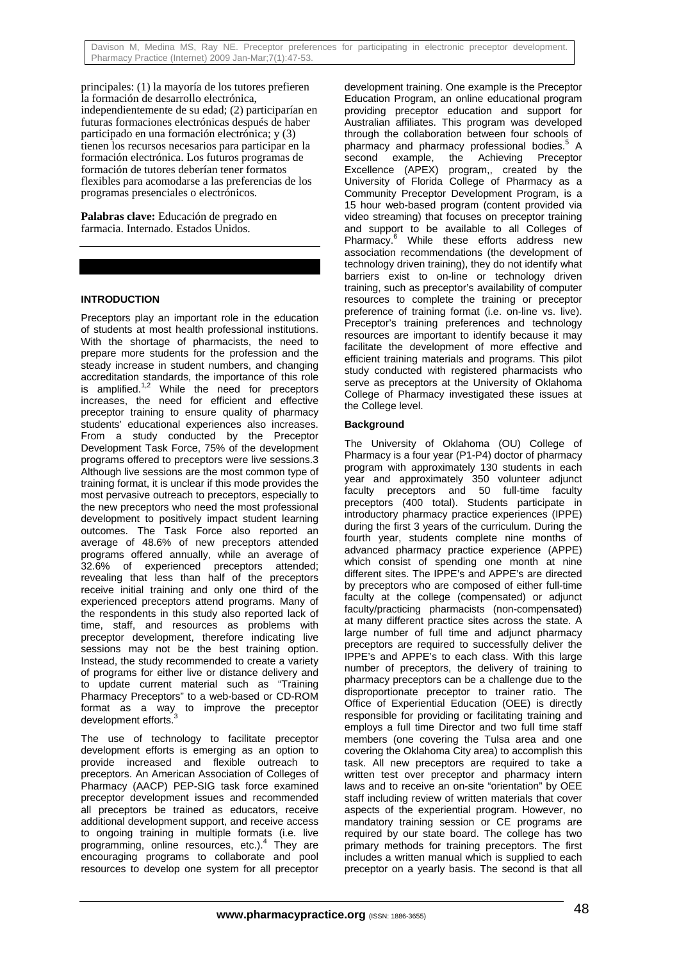principales: (1) la mayoría de los tutores prefieren la formación de desarrollo electrónica, independientemente de su edad; (2) participarían en futuras formaciones electrónicas después de haber participado en una formación electrónica; y (3) tienen los recursos necesarios para participar en la formación electrónica. Los futuros programas de formación de tutores deberían tener formatos flexibles para acomodarse a las preferencias de los programas presenciales o electrónicos.

**Palabras clave:** Educación de pregrado en farmacia. Internado. Estados Unidos.

# **INTRODUCTION**

Preceptors play an important role in the education of students at most health professional institutions. With the shortage of pharmacists, the need to prepare more students for the profession and the steady increase in student numbers, and changing accreditation standards, the importance of this role decreditation standards, the importance of this receptors increases, the need for efficient and effective preceptor training to ensure quality of pharmacy students' educational experiences also increases. From a study conducted by the Preceptor Development Task Force, 75% of the development programs offered to preceptors were live sessions.3 Although live sessions are the most common type of training format, it is unclear if this mode provides the most pervasive outreach to preceptors, especially to the new preceptors who need the most professional development to positively impact student learning outcomes. The Task Force also reported an average of 48.6% of new preceptors attended programs offered annually, while an average of 32.6% of experienced preceptors attended; revealing that less than half of the preceptors receive initial training and only one third of the experienced preceptors attend programs. Many of the respondents in this study also reported lack of time, staff, and resources as problems with preceptor development, therefore indicating live sessions may not be the best training option. Instead, the study recommended to create a variety of programs for either live or distance delivery and to update current material such as "Training Pharmacy Preceptors" to a web-based or CD-ROM format as a way to improve the preceptor development efforts.

The use of technology to facilitate preceptor development efforts is emerging as an option to provide increased and flexible outreach to preceptors. An American Association of Colleges of Pharmacy (AACP) PEP-SIG task force examined preceptor development issues and recommended all preceptors be trained as educators, receive additional development support, and receive access to ongoing training in multiple formats (i.e. live programming, online resources, etc.).<sup>4</sup> They are encouraging programs to collaborate and pool resources to develop one system for all preceptor

development training. One example is the Preceptor Education Program, an online educational program providing preceptor education and support for Australian affiliates. This program was developed through the collaboration between four schools of pharmacy and pharmacy professional bodies.<sup>5</sup> A second example, the Achieving Preceptor Excellence (APEX) program,, created by the University of Florida College of Pharmacy as a Community Preceptor Development Program, is a 15 hour web-based program (content provided via video streaming) that focuses on preceptor training and support to be available to all Colleges of Pharmacy.<sup>6</sup> While these efforts address new association recommendations (the development of technology driven training), they do not identify what barriers exist to on-line or technology driven training, such as preceptor's availability of computer resources to complete the training or preceptor preference of training format (i.e. on-line vs. live). Preceptor's training preferences and technology resources are important to identify because it may facilitate the development of more effective and efficient training materials and programs. This pilot study conducted with registered pharmacists who serve as preceptors at the University of Oklahoma College of Pharmacy investigated these issues at the College level.

# **Background**

The University of Oklahoma (OU) College of Pharmacy is a four year (P1-P4) doctor of pharmacy program with approximately 130 students in each year and approximately 350 volunteer adjunct faculty preceptors and 50 full-time faculty preceptors (400 total). Students participate in introductory pharmacy practice experiences (IPPE) during the first 3 years of the curriculum. During the fourth year, students complete nine months of advanced pharmacy practice experience (APPE) which consist of spending one month at nine different sites. The IPPE's and APPE's are directed by preceptors who are composed of either full-time faculty at the college (compensated) or adjunct faculty/practicing pharmacists (non-compensated) at many different practice sites across the state. A large number of full time and adjunct pharmacy preceptors are required to successfully deliver the IPPE's and APPE's to each class. With this large number of preceptors, the delivery of training to pharmacy preceptors can be a challenge due to the disproportionate preceptor to trainer ratio. The Office of Experiential Education (OEE) is directly responsible for providing or facilitating training and employs a full time Director and two full time staff members (one covering the Tulsa area and one covering the Oklahoma City area) to accomplish this task. All new preceptors are required to take a written test over preceptor and pharmacy intern laws and to receive an on-site "orientation" by OEE staff including review of written materials that cover aspects of the experiential program. However, no mandatory training session or CE programs are required by our state board. The college has two primary methods for training preceptors. The first includes a written manual which is supplied to each preceptor on a yearly basis. The second is that all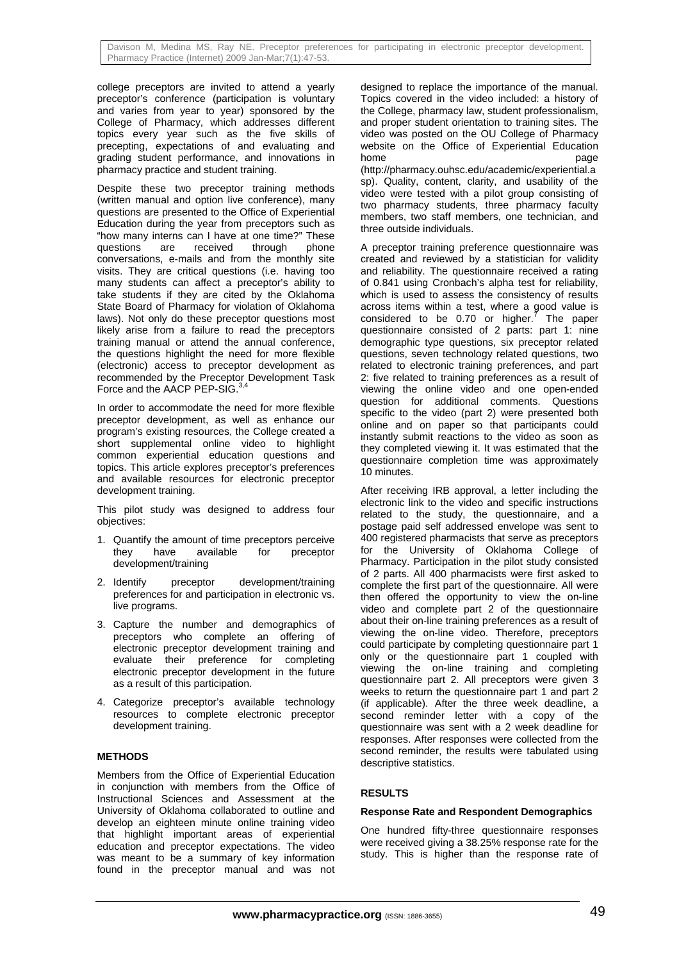college preceptors are invited to attend a yearly preceptor's conference (participation is voluntary and varies from year to year) sponsored by the College of Pharmacy, which addresses different topics every year such as the five skills of precepting, expectations of and evaluating and grading student performance, and innovations in pharmacy practice and student training.

Despite these two preceptor training methods (written manual and option live conference), many questions are presented to the Office of Experiential Education during the year from preceptors such as "how many interns can I have at one time?" These questions are received through phone conversations, e-mails and from the monthly site visits. They are critical questions (i.e. having too many students can affect a preceptor's ability to take students if they are cited by the Oklahoma State Board of Pharmacy for violation of Oklahoma laws). Not only do these preceptor questions most likely arise from a failure to read the preceptors training manual or attend the annual conference, the questions highlight the need for more flexible (electronic) access to preceptor development as recommended by the Preceptor Development Task Force and the AACP PEP-SIG.<sup>3,4</sup>

In order to accommodate the need for more flexible preceptor development, as well as enhance our program's existing resources, the College created a short supplemental online video to highlight common experiential education questions and topics. This article explores preceptor's preferences and available resources for electronic preceptor development training.

This pilot study was designed to address four objectives:

- 1. Quantify the amount of time preceptors perceive they have available for preceptor development/training
- 2. Identify preceptor development/training preferences for and participation in electronic vs. live programs.
- 3. Capture the number and demographics of preceptors who complete an offering of electronic preceptor development training and evaluate their preference for completing electronic preceptor development in the future as a result of this participation.
- 4. Categorize preceptor's available technology resources to complete electronic preceptor development training.

# **METHODS**

Members from the Office of Experiential Education in conjunction with members from the Office of Instructional Sciences and Assessment at the University of Oklahoma collaborated to outline and develop an eighteen minute online training video that highlight important areas of experiential education and preceptor expectations. The video was meant to be a summary of key information found in the preceptor manual and was not designed to replace the importance of the manual. Topics covered in the video included: a history of the College, pharmacy law, student professionalism, and proper student orientation to training sites. The video was posted on the OU College of Pharmacy website on the Office of Experiential Education home **b** a page page (http://pharmacy.ouhsc.edu/academic/experiential.a sp). Quality, content, clarity, and usability of the video were tested with a pilot group consisting of two pharmacy students, three pharmacy faculty members, two staff members, one technician, and

three outside individuals.

A preceptor training preference questionnaire was created and reviewed by a statistician for validity and reliability. The questionnaire received a rating of 0.841 using Cronbach's alpha test for reliability, which is used to assess the consistency of results across items within a test, where a good value is considered to be 0.70 or higher. $\frac{7}{7}$  The paper questionnaire consisted of 2 parts: part 1: nine demographic type questions, six preceptor related questions, seven technology related questions, two related to electronic training preferences, and part 2: five related to training preferences as a result of viewing the online video and one open-ended question for additional comments. Questions specific to the video (part 2) were presented both online and on paper so that participants could instantly submit reactions to the video as soon as they completed viewing it. It was estimated that the questionnaire completion time was approximately 10 minutes.

After receiving IRB approval, a letter including the electronic link to the video and specific instructions related to the study, the questionnaire, and a postage paid self addressed envelope was sent to 400 registered pharmacists that serve as preceptors for the University of Oklahoma College of Pharmacy. Participation in the pilot study consisted of 2 parts. All 400 pharmacists were first asked to complete the first part of the questionnaire. All were then offered the opportunity to view the on-line video and complete part 2 of the questionnaire about their on-line training preferences as a result of viewing the on-line video. Therefore, preceptors could participate by completing questionnaire part 1 only or the questionnaire part 1 coupled with viewing the on-line training and completing questionnaire part 2. All preceptors were given 3 weeks to return the questionnaire part 1 and part 2 (if applicable). After the three week deadline, a second reminder letter with a copy of the questionnaire was sent with a 2 week deadline for responses. After responses were collected from the second reminder, the results were tabulated using descriptive statistics.

# **RESULTS**

# **Response Rate and Respondent Demographics**

One hundred fifty-three questionnaire responses were received giving a 38.25% response rate for the study. This is higher than the response rate of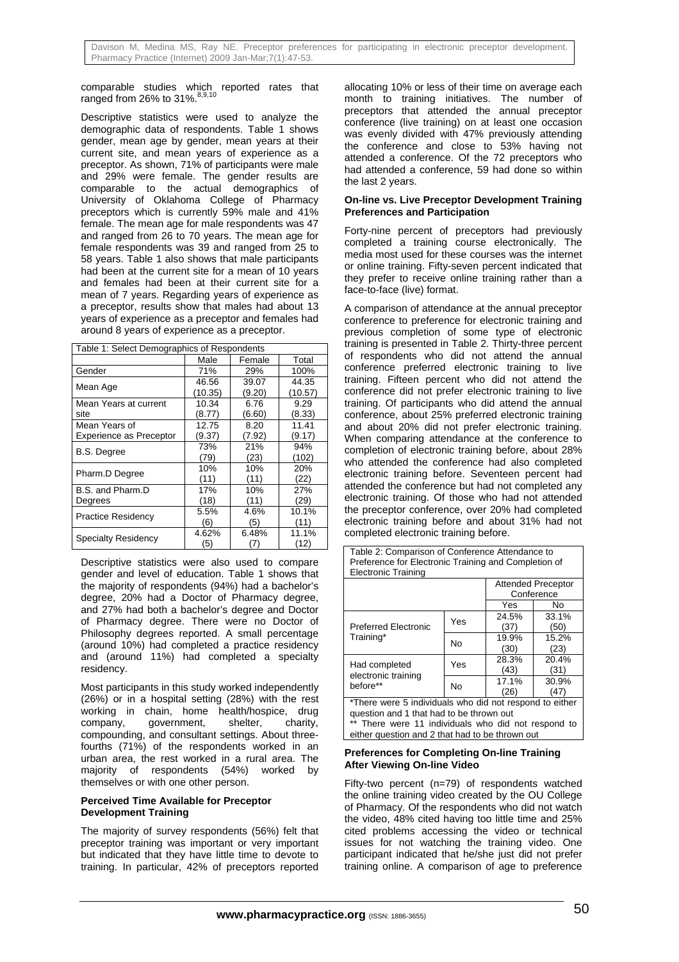comparable studies which reported rates that ranged from 26% to 31%.  $8,9,10$ 

Descriptive statistics were used to analyze the demographic data of respondents. Table 1 shows gender, mean age by gender, mean years at their current site, and mean years of experience as a preceptor. As shown, 71% of participants were male and 29% were female. The gender results are comparable to the actual demographics of University of Oklahoma College of Pharmacy preceptors which is currently 59% male and 41% female. The mean age for male respondents was 47 and ranged from 26 to 70 years. The mean age for female respondents was 39 and ranged from 25 to 58 years. Table 1 also shows that male participants had been at the current site for a mean of 10 years and females had been at their current site for a mean of 7 years. Regarding years of experience as a preceptor, results show that males had about 13 years of experience as a preceptor and females had around 8 years of experience as a preceptor.

| Table 1: Select Demographics of Respondents |         |        |         |
|---------------------------------------------|---------|--------|---------|
|                                             | Male    | Female | Total   |
| Gender                                      | 71%     | 29%    | 100%    |
|                                             | 46.56   | 39.07  | 44.35   |
| Mean Age                                    | (10.35) | (9.20) | (10.57) |
| Mean Years at current                       | 10.34   | 6.76   | 9.29    |
| site                                        | (8.77)  | (6.60) | (8.33)  |
| Mean Years of                               | 12.75   | 8.20   | 11.41   |
| <b>Experience as Preceptor</b>              | (9.37)  | (7.92) | (9.17)  |
| <b>B.S. Degree</b>                          | 73%     | 21%    | 94%     |
|                                             | (79)    | (23)   | (102)   |
| Pharm.D Degree                              | 10%     | 10%    | 20%     |
|                                             | (11)    | (11)   | (22)    |
| B.S. and Pharm.D                            | 17%     | 10%    | 27%     |
| Degrees                                     | (18)    | (11)   | (29)    |
| <b>Practice Residency</b>                   | 5.5%    | 4.6%   | 10.1%   |
|                                             | (6)     | (5)    | (11)    |
| <b>Specialty Residency</b>                  | 4.62%   | 6.48%  | 11.1%   |
|                                             | (5)     | (7)    | (12)    |

Descriptive statistics were also used to compare gender and level of education. Table 1 shows that the majority of respondents (94%) had a bachelor's degree, 20% had a Doctor of Pharmacy degree, and 27% had both a bachelor's degree and Doctor of Pharmacy degree. There were no Doctor of Philosophy degrees reported. A small percentage (around 10%) had completed a practice residency and (around 11%) had completed a specialty residency.

Most participants in this study worked independently (26%) or in a hospital setting (28%) with the rest working in chain, home health/hospice, drug company, government, shelter, charity, compounding, and consultant settings. About threefourths (71%) of the respondents worked in an urban area, the rest worked in a rural area. The majority of respondents (54%) worked by themselves or with one other person.

# **Perceived Time Available for Preceptor Development Training**

The majority of survey respondents (56%) felt that preceptor training was important or very important but indicated that they have little time to devote to training. In particular, 42% of preceptors reported allocating 10% or less of their time on average each month to training initiatives. The number of preceptors that attended the annual preceptor conference (live training) on at least one occasion was evenly divided with 47% previously attending the conference and close to 53% having not attended a conference. Of the 72 preceptors who had attended a conference, 59 had done so within the last 2 years.

#### **On-line vs. Live Preceptor Development Training Preferences and Participation**

Forty-nine percent of preceptors had previously completed a training course electronically. The media most used for these courses was the internet or online training. Fifty-seven percent indicated that they prefer to receive online training rather than a face-to-face (live) format.

A comparison of attendance at the annual preceptor conference to preference for electronic training and previous completion of some type of electronic training is presented in Table 2. Thirty-three percent of respondents who did not attend the annual conference preferred electronic training to live training. Fifteen percent who did not attend the conference did not prefer electronic training to live training. Of participants who did attend the annual conference, about 25% preferred electronic training and about 20% did not prefer electronic training. When comparing attendance at the conference to completion of electronic training before, about 28% who attended the conference had also completed electronic training before. Seventeen percent had attended the conference but had not completed any electronic training. Of those who had not attended the preceptor conference, over 20% had completed electronic training before and about 31% had not completed electronic training before.

| Preference for Electronic Training and Completion of<br><b>Electronic Training</b>              |           |            |                           |
|-------------------------------------------------------------------------------------------------|-----------|------------|---------------------------|
|                                                                                                 |           |            | <b>Attended Preceptor</b> |
|                                                                                                 |           | Conference |                           |
|                                                                                                 |           | Yes        | No.                       |
| <b>Preferred Electronic</b><br>Training*                                                        | Yes       | 24.5%      | 33.1%                     |
|                                                                                                 |           | (37)       | (50)                      |
|                                                                                                 | <b>No</b> | 19.9%      | 15.2%                     |
|                                                                                                 |           | (30)       | (23)                      |
| Had completed<br>electronic training<br>before**                                                | Yes       | 28.3%      | 20.4%                     |
|                                                                                                 |           | (43)       | (31)                      |
|                                                                                                 | No        | 17.1%      | 30.9%                     |
|                                                                                                 |           | (26)       | (47)                      |
| *There were 5 individuals who did not respond to either                                         |           |            |                           |
| question and 1 that had to be thrown out<br>** There were 11 individuals who did not respond to |           |            |                           |
| either question and 2 that had to be thrown out                                                 |           |            |                           |

Table 2: Comparison of Conference Attendance to

# **Preferences for Completing On-line Training After Viewing On-line Video**

Fifty-two percent (n=79) of respondents watched the online training video created by the OU College of Pharmacy. Of the respondents who did not watch the video, 48% cited having too little time and 25% cited problems accessing the video or technical issues for not watching the training video. One participant indicated that he/she just did not prefer training online. A comparison of age to preference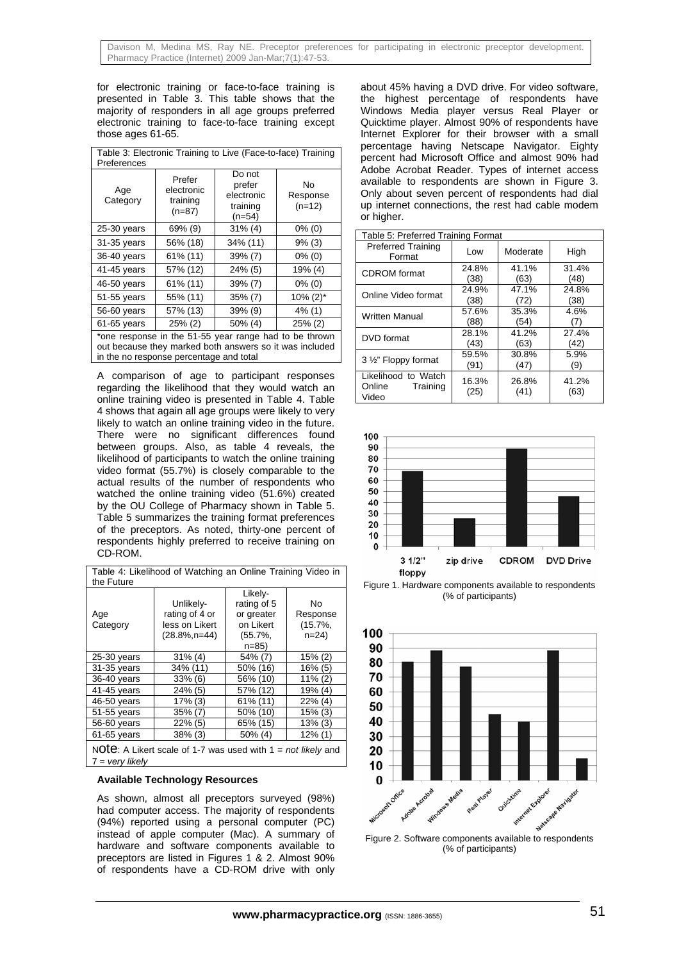for electronic training or face-to-face training is presented in Table 3. This table shows that the majority of responders in all age groups preferred electronic training to face-to-face training except those ages 61-65.

| Table 3: Electronic Training to Live (Face-to-face) Training<br>Preferences                                                                                  |                                              |                                                        |                            |
|--------------------------------------------------------------------------------------------------------------------------------------------------------------|----------------------------------------------|--------------------------------------------------------|----------------------------|
| Age<br>Category                                                                                                                                              | Prefer<br>electronic<br>training<br>$(n=87)$ | Do not<br>prefer<br>electronic<br>training<br>$(n=54)$ | No<br>Response<br>$(n=12)$ |
| 25-30 years                                                                                                                                                  | 69% (9)                                      | $31\%$ (4)                                             | $0\%$ (0)                  |
| 31-35 years                                                                                                                                                  | 56% (18)                                     | 34% (11)                                               | 9% (3)                     |
| 36-40 years                                                                                                                                                  | 61% (11)                                     | 39% (7)                                                | $0\%$ (0)                  |
| 41-45 years                                                                                                                                                  | 57% (12)                                     | 24% (5)                                                | 19% (4)                    |
| 46-50 years                                                                                                                                                  | 61% (11)                                     | $39\% (7)$                                             | $0\%$ (0)                  |
| 51-55 years                                                                                                                                                  | 55% (11)                                     | 35% (7)                                                | $10\% (2)^*$               |
| 56-60 years                                                                                                                                                  | 57% (13)                                     | 39% (9)                                                | $4\%$ (1)                  |
| 61-65 years                                                                                                                                                  | $25\%$ (2)                                   | 50% (4)                                                | $25\%$ (2)                 |
| *one response in the 51-55 year range had to be thrown<br>out because they marked both answers so it was included<br>in the no response percentage and total |                                              |                                                        |                            |

A comparison of age to participant responses regarding the likelihood that they would watch an online training video is presented in Table 4. Table 4 shows that again all age groups were likely to very likely to watch an online training video in the future. There were no significant differences found between groups. Also, as table 4 reveals, the likelihood of participants to watch the online training video format (55.7%) is closely comparable to the actual results of the number of respondents who watched the online training video (51.6%) created by the OU College of Pharmacy shown in Table 5. Table 5 summarizes the training format preferences of the preceptors. As noted, thirty-one percent of respondents highly preferred to receive training on CD-ROM.

| Table 4: Likelihood of Watching an Online Training Video in<br>the Future                  |                                                                   |                                                                            |                                         |
|--------------------------------------------------------------------------------------------|-------------------------------------------------------------------|----------------------------------------------------------------------------|-----------------------------------------|
| Age<br>Category                                                                            | Unlikely-<br>rating of 4 or<br>less on Likert<br>$(28.8\%, n=44)$ | Likely-<br>rating of 5<br>or greater<br>on Likert<br>$(55.7\%$<br>$n = 85$ | No<br>Response<br>$(15.7\%$<br>$n=24$ ) |
| $25-30$ years                                                                              | $31\%$ (4)                                                        | 54% (7)                                                                    | $15\%$ (2)                              |
| 31-35 years                                                                                | 34% (11)                                                          | 50% (16)                                                                   | 16% (5)                                 |
| 36-40 years                                                                                | $33\%$ (6)                                                        | 56% (10)                                                                   | 11% (2)                                 |
| 41-45 years                                                                                | $24\%$ (5)                                                        | 57% (12)                                                                   | 19% (4)                                 |
| 46-50 years                                                                                | 17% (3)                                                           | $61\%$ (11)                                                                | $22\%$ (4)                              |
| 51-55 years                                                                                | $35\%$ (7)                                                        | 50% (10)                                                                   | $15\%$ (3)                              |
| 56-60 years                                                                                | $22\%$ (5)                                                        | 65% (15)                                                                   | $13\%$ (3)                              |
| 61-65 years                                                                                | $38\%$ (3)                                                        | $50\%$ (4)                                                                 | $12\%$ (1)                              |
| NOTE: A Likert scale of 1-7 was used with $1 = not$ likely and<br>$7 = \text{very likely}$ |                                                                   |                                                                            |                                         |

# **Available Technology Resources**

As shown, almost all preceptors surveyed (98%) had computer access. The majority of respondents (94%) reported using a personal computer (PC) instead of apple computer (Mac). A summary of hardware and software components available to preceptors are listed in Figures 1 & 2. Almost 90% of respondents have a CD-ROM drive with only

about 45% having a DVD drive. For video software, the highest percentage of respondents have Windows Media player versus Real Player or Quicktime player. Almost 90% of respondents have Internet Explorer for their browser with a small percentage having Netscape Navigator. Eighty percent had Microsoft Office and almost 90% had Adobe Acrobat Reader. Types of internet access available to respondents are shown in Figure 3. Only about seven percent of respondents had dial up internet connections, the rest had cable modem or higher.

| Table 5: Preferred Training Format                 |               |               |               |
|----------------------------------------------------|---------------|---------------|---------------|
| <b>Preferred Training</b><br>Format                | Low           | Moderate      | High          |
| <b>CDROM</b> format                                | 24.8%         | 41.1%         | 31.4%         |
|                                                    | (38)          | (63)          | (48)          |
| Online Video format                                | 24.9%         | 47.1%         | 24.8%         |
|                                                    | (38)          | 72)           | (38)          |
| <b>Written Manual</b>                              | 57.6%         | 35.3%         | 4.6%          |
|                                                    | (88)          | (54)          | (7)           |
| DVD format                                         | 28.1%         | 41.2%         | 27.4%         |
|                                                    | (43)          | (63)          | (42)          |
| 3 1/2" Floppy format                               | 59.5%         | 30.8%         | 5.9%          |
|                                                    | (91)          | (47)          | (9)           |
| Likelihood to Watch<br>Online<br>Training<br>Video | 16.3%<br>(25) | 26.8%<br>(41) | 41.2%<br>(63) |







Figure 2. Software components available to respondents (% of participants)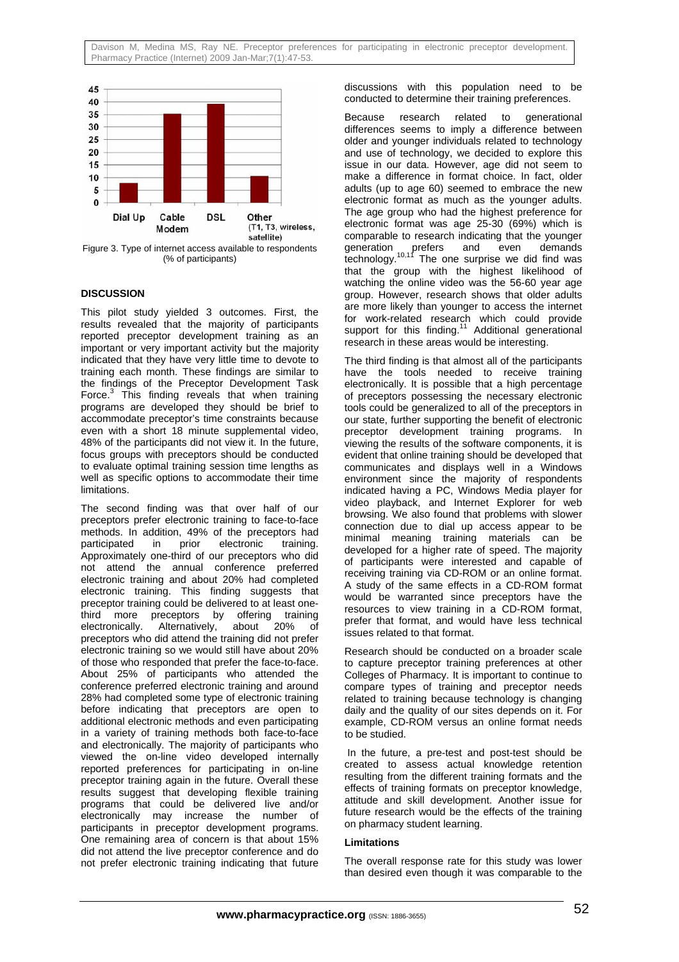

Figure 3. Type of internet access available to respondents (% of participants)

# **DISCUSSION**

This pilot study yielded 3 outcomes. First, the results revealed that the majority of participants reported preceptor development training as an important or very important activity but the majority indicated that they have very little time to devote to training each month. These findings are similar to the findings of the Preceptor Development Task Force.<sup>3</sup> This finding reveals that when training programs are developed they should be brief to accommodate preceptor's time constraints because even with a short 18 minute supplemental video, 48% of the participants did not view it. In the future, focus groups with preceptors should be conducted to evaluate optimal training session time lengths as well as specific options to accommodate their time limitations.

The second finding was that over half of our preceptors prefer electronic training to face-to-face methods. In addition, 49% of the preceptors had participated in prior electronic training. Approximately one-third of our preceptors who did not attend the annual conference preferred electronic training and about 20% had completed electronic training. This finding suggests that preceptor training could be delivered to at least onethird more preceptors by offering training electronically. Alternatively, about 20% of preceptors who did attend the training did not prefer electronic training so we would still have about 20% of those who responded that prefer the face-to-face. About 25% of participants who attended the conference preferred electronic training and around 28% had completed some type of electronic training before indicating that preceptors are open to additional electronic methods and even participating in a variety of training methods both face-to-face and electronically. The majority of participants who viewed the on-line video developed internally reported preferences for participating in on-line preceptor training again in the future. Overall these results suggest that developing flexible training programs that could be delivered live and/or electronically may increase the number of participants in preceptor development programs. One remaining area of concern is that about 15% did not attend the live preceptor conference and do not prefer electronic training indicating that future

discussions with this population need to be conducted to determine their training preferences.

Because research related to generational differences seems to imply a difference between older and younger individuals related to technology and use of technology, we decided to explore this issue in our data. However, age did not seem to make a difference in format choice. In fact, older adults (up to age 60) seemed to embrace the new electronic format as much as the younger adults. The age group who had the highest preference for electronic format was age 25-30 (69%) which is comparable to research indicating that the younger generation prefers and even demands  $\mathsf{\check{t}}$ echnology.<sup>10,11</sup> The one surprise we did find was that the group with the highest likelihood of watching the online video was the 56-60 year age group. However, research shows that older adults are more likely than younger to access the internet for work-related research which could provide support for this finding.<sup>11</sup> Additional generational research in these areas would be interesting.

The third finding is that almost all of the participants have the tools needed to receive training electronically. It is possible that a high percentage of preceptors possessing the necessary electronic tools could be generalized to all of the preceptors in our state, further supporting the benefit of electronic preceptor development training programs. In viewing the results of the software components, it is evident that online training should be developed that communicates and displays well in a Windows environment since the majority of respondents indicated having a PC, Windows Media player for video playback, and Internet Explorer for web browsing. We also found that problems with slower connection due to dial up access appear to be minimal meaning training materials can be developed for a higher rate of speed. The majority of participants were interested and capable of receiving training via CD-ROM or an online format. A study of the same effects in a CD-ROM format would be warranted since preceptors have the resources to view training in a CD-ROM format, prefer that format, and would have less technical issues related to that format.

Research should be conducted on a broader scale to capture preceptor training preferences at other Colleges of Pharmacy. It is important to continue to compare types of training and preceptor needs related to training because technology is changing daily and the quality of our sites depends on it. For example, CD-ROM versus an online format needs to be studied.

 In the future, a pre-test and post-test should be created to assess actual knowledge retention resulting from the different training formats and the effects of training formats on preceptor knowledge, attitude and skill development. Another issue for future research would be the effects of the training on pharmacy student learning.

# **Limitations**

The overall response rate for this study was lower than desired even though it was comparable to the